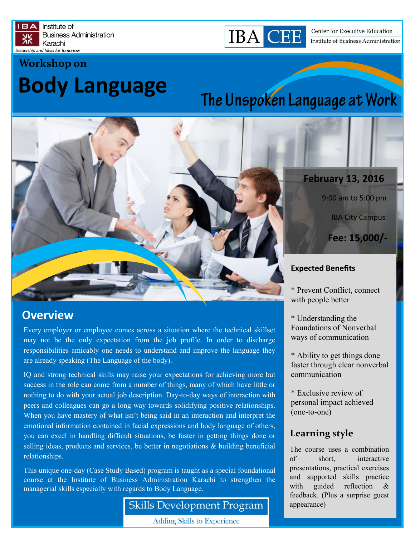



Center for Executive Education Institute of Business Administration

# **Body Language Workshop on**

# The Unspoken Language at Work



# **Overview**

Every employer or employee comes across a situation where the technical skillset may not be the only expectation from the job profile. In order to discharge responsibilities amicably one needs to understand and improve the language they are already speaking (The Language of the body).

IQ and strong technical skills may raise your expectations for achieving more but success in the role can come from a number of things, many of which have little or nothing to do with your actual job description. Day-to-day ways of interaction with peers and colleagues can go a long way towards solidifying positive relationships. When you have mastery of what isn't being said in an interaction and interpret the emotional information contained in facial expressions and body language of others, you can excel in handling difficult situations, be faster in getting things done or selling ideas, products and services, be better in negotiations & building beneficial relationships.

This unique one-day (Case Study Based) program is taught as a special foundational course at the Institute of Business Administration Karachi to strengthen the managerial skills especially with regards to Body Language.

**Skills Development Program** 

**Adding Skills to Experience** 

### **February 13, 2016**

9:00 am to 5:00 pm

IBA City Campus

**Fee: 15,000/-**

#### **Expected Benefits**

\* Prevent Conflict, connect with people better

\* Understanding the Foundations of Nonverbal ways of communication

\* Ability to get things done faster through clear nonverbal communication

\* Exclusive review of personal impact achieved (one-to-one)

### **Learning style**

The course uses a combination of short, interactive presentations, practical exercises and supported skills practice with guided reflection & feedback. (Plus a surprise guest appearance)